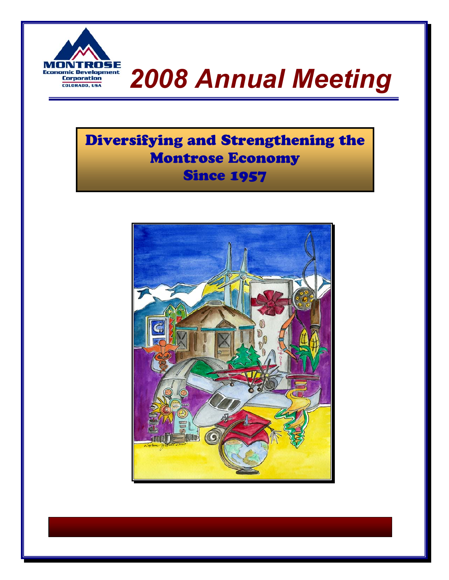

# **MONTROSE**<br>Economic Development<br>Corporation

## Diversifying and Strengthening the Montrose Economy **Since 1957**

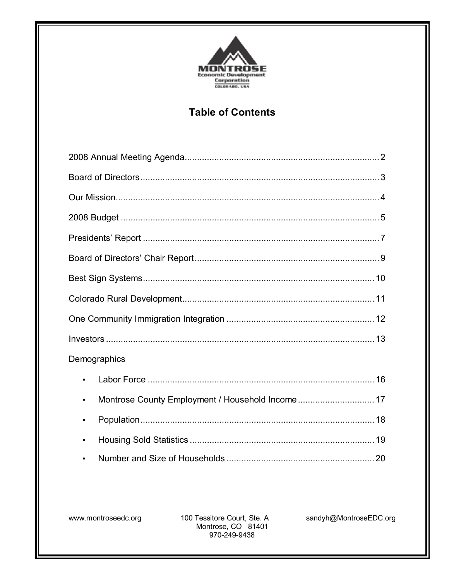

## **Table of Contents**

| Demographics |
|--------------|
| $\bullet$    |
| $\bullet$    |
|              |
|              |
|              |

100 Tessitore Court, Ste. A Montrose, CO 81401 970-249-9438

sandyh@MontroseEDC.org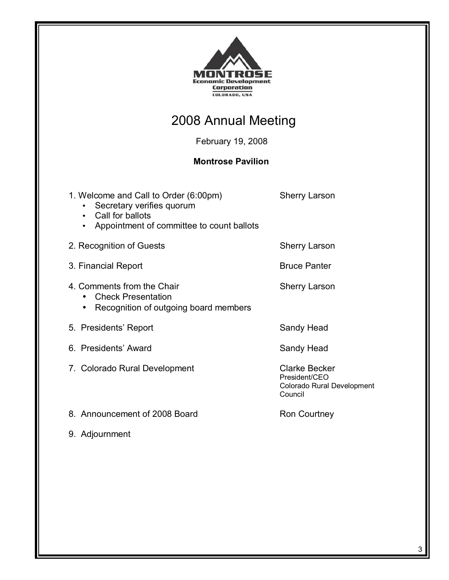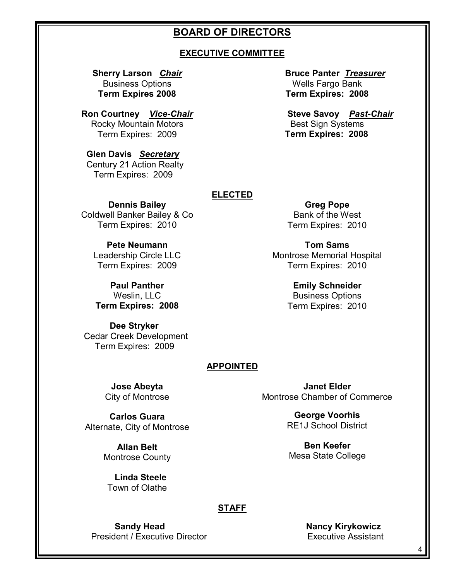## **BOARD OF DIRECTORS**

#### **EXECUTIVE COMMITTEE**

**Sherry Larson** *Chair* Business Options **Term Expires 2008** 

**Ron Courtney** *Vice-Chair* Rocky Mountain Motors Term Expires: 2009

 **Glen Davis** *Secretary* Century 21 Action Realty Term Expires: 2009

**Bruce Panter** *Treasurer* Wells Fargo Bank **Term Expires: 2008** 

**Steve Savoy** *Past-Chair* Best Sign Systems **Term Expires: 2008**

#### **ELECTED**

**Dennis Bailey**  Coldwell Banker Bailey & Co Term Expires: 2010

> **Pete Neumann**  Leadership Circle LLC Term Expires: 2009

**Paul Panther**  Weslin, LLC **Term Expires: 2008** 

 **Dee Stryker**  Cedar Creek Development Term Expires: 2009

**Greg Pope**  Bank of the West Term Expires: 2010

**Tom Sams**  Montrose Memorial Hospital Term Expires: 2010

> **Emily Schneider**  Business Options Term Expires: 2010

#### **APPOINTED**

**Jose Abeyta** City of Montrose

**Carlos Guara**  Alternate, City of Montrose

> **Allan Belt**  Montrose County

 **Linda Steele**  Town of Olathe

**Janet Elder**  Montrose Chamber of Commerce

> **George Voorhis**  RE1J School District

**Ben Keefer**  Mesa State College

### **STAFF**

**Sandy Head Nancy Kirykowicz** President / Executive Director **Executive Assistant**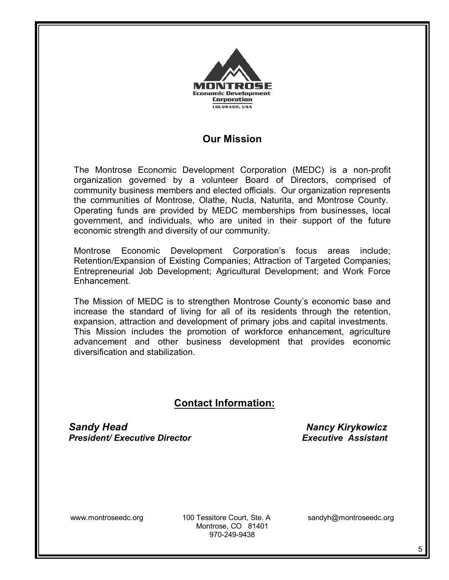

## **Our Mission**

The Montrose Economic Development Corporation (MEDC) is a non-profit organization governed by a volunteer Board of Directors, comprised of community business members and elected officials. Our organization represents the communities of Montrose, Olathe, Nucla, Naturita, and Montrose County. Operating funds are provided by MEDC memberships from businesses, local government, and individuals, who are united in their support of the future economic strength and diversity of our community.

Montrose Economic Development Corporationís focus areas include; Retention/Expansion of Existing Companies; Attraction of Targeted Companies; Entrepreneurial Job Development; Agricultural Development; and Work Force **Enhancement** 

The Mission of MEDC is to strengthen Montrose County's economic base and increase the standard of living for all of its residents through the retention, expansion, attraction and development of primary jobs and capital investments. This Mission includes the promotion of workforce enhancement, agriculture advancement and other business development that provides economic diversification and stabilization.

## **Contact Information:**

**Sandy Head Nancy Kirykowicz Nancy Kirykowicz** *President/ Executive Director Executive Assistant*

www.montroseedc.org 100 Tessitore Court, Ste. A sandyh@montroseedc.org Montrose, CO 81401 970-249-9438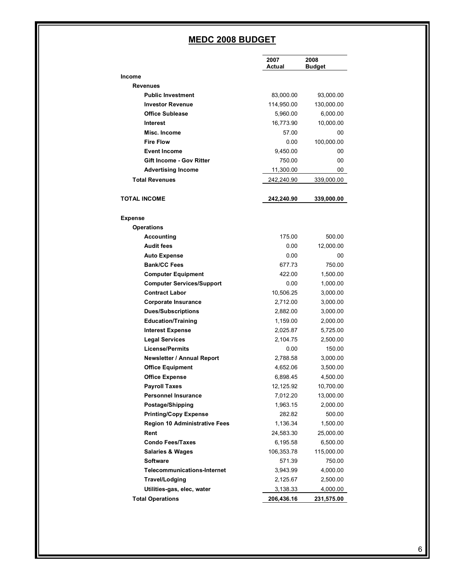## **MEDC 2008 BUDGET**

|                                      | 2007<br>Actual | 2008<br>Budget |
|--------------------------------------|----------------|----------------|
| Income                               |                |                |
| <b>Revenues</b>                      |                |                |
| <b>Public Investment</b>             | 83,000.00      | 93,000.00      |
| <b>Investor Revenue</b>              | 114,950.00     | 130,000.00     |
| <b>Office Sublease</b>               | 5,960.00       | 6,000.00       |
| <b>Interest</b>                      | 16,773.90      | 10,000.00      |
| Misc. Income                         | 57.00          | 00             |
| <b>Fire Flow</b>                     | 0.00           | 100,000.00     |
| <b>Event Income</b>                  | 9,450.00       | 00             |
| <b>Gift Income - Gov Ritter</b>      | 750.00         | 00             |
| <b>Advertising Income</b>            | 11,300.00      | 00             |
| <b>Total Revenues</b>                | 242,240.90     | 339,000.00     |
| TOTAL INCOME                         | 242,240.90     | 339,000.00     |
| Expense                              |                |                |
| <b>Operations</b>                    |                |                |
| Accounting                           | 175.00         | 500.00         |
| <b>Audit fees</b>                    | 0.00           | 12,000.00      |
| <b>Auto Expense</b>                  | 0.00           | 00             |
| <b>Bank/CC Fees</b>                  | 677.73         | 750.00         |
| <b>Computer Equipment</b>            | 422.00         | 1,500.00       |
| <b>Computer Services/Support</b>     | 0.00           | 1,000.00       |
| <b>Contract Labor</b>                | 10,506.25      | 3,000.00       |
| <b>Corporate Insurance</b>           | 2,712.00       | 3,000.00       |
| <b>Dues/Subscriptions</b>            | 2,882.00       | 3,000.00       |
| <b>Education/Training</b>            | 1,159.00       | 2,000.00       |
| <b>Interest Expense</b>              | 2,025.87       | 5,725.00       |
| <b>Legal Services</b>                | 2,104.75       | 2,500.00       |
| <b>License/Permits</b>               | 0.00           | 150.00         |
| <b>Newsletter / Annual Report</b>    | 2,788.58       | 3,000.00       |
| <b>Office Equipment</b>              | 4,652.06       | 3,500.00       |
| <b>Office Expense</b>                | 6,898.45       | 4,500.00       |
| <b>Payroll Taxes</b>                 | 12,125.92      | 10,700.00      |
| <b>Personnel Insurance</b>           | 7,012.20       | 13,000.00      |
| Postage/Shipping                     | 1,963.15       | 2,000.00       |
| <b>Printing/Copy Expense</b>         | 282.82         | 500.00         |
| <b>Region 10 Administrative Fees</b> | 1,136.34       | 1,500.00       |
| Rent                                 | 24,583.30      | 25,000.00      |
| <b>Condo Fees/Taxes</b>              | 6,195.58       | 6,500.00       |
| <b>Salaries &amp; Wages</b>          | 106,353.78     | 115,000.00     |
| <b>Software</b>                      | 571.39         | 750.00         |
| <b>Telecommunications-Internet</b>   | 3,943.99       | 4,000.00       |
| Travel/Lodging                       | 2,125.67       | 2,500.00       |
| Utilities-gas, elec, water           | 3,138.33       | 4,000.00       |
| <b>Total Operations</b>              | 206,436.16     | 231,575.00     |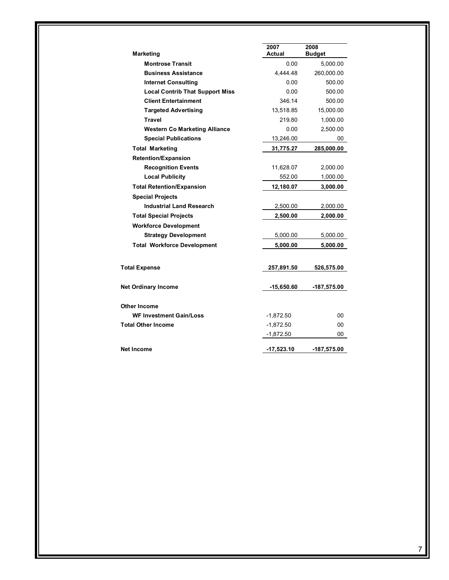| <b>Marketing</b>                       | 2007<br>Actual | 2008<br><b>Budget</b> |
|----------------------------------------|----------------|-----------------------|
| <b>Montrose Transit</b>                | 0.00           | 5,000.00              |
| <b>Business Assistance</b>             | 4,444.48       | 260,000.00            |
| <b>Internet Consulting</b>             | 0.00           | 500.00                |
| <b>Local Contrib That Support Miss</b> | 0.00           | 500.00                |
| <b>Client Entertainment</b>            | 346.14         | 500.00                |
| <b>Targeted Advertising</b>            | 13,518.85      | 15,000.00             |
| <b>Travel</b>                          | 219.80         | 1,000.00              |
| <b>Western Co Marketing Alliance</b>   | 0.00           | 2,500.00              |
| <b>Special Publications</b>            | 13,246.00      | 00                    |
| <b>Total Marketing</b>                 | 31,775.27      | 285,000.00            |
| <b>Retention/Expansion</b>             |                |                       |
| <b>Recognition Events</b>              | 11,628.07      | 2,000.00              |
| <b>Local Publicity</b>                 | 552.00         | 1,000.00              |
| <b>Total Retention/Expansion</b>       | 12,180.07      | 3,000.00              |
| <b>Special Projects</b>                |                |                       |
| <b>Industrial Land Research</b>        | 2,500.00       | 2,000.00              |
| <b>Total Special Projects</b>          | 2,500.00       | 2,000.00              |
| <b>Workforce Development</b>           |                |                       |
| <b>Strategy Development</b>            | 5,000.00       | 5,000.00              |
| <b>Total Workforce Development</b>     | 5,000.00       | 5,000.00              |
| <b>Total Expense</b>                   | 257,891.50     | 526,575.00            |
| <b>Net Ordinary Income</b>             | $-15,650.60$   | $-187,575.00$         |
| Other Income                           |                |                       |
| <b>WF Investment Gain/Loss</b>         | $-1,872.50$    | 00                    |
| Total Other Income                     | $-1,872.50$    | 00                    |
|                                        | $-1,872.50$    | 00                    |
| Net Income                             | $-17,523.10$   | -187,575.00           |
|                                        |                |                       |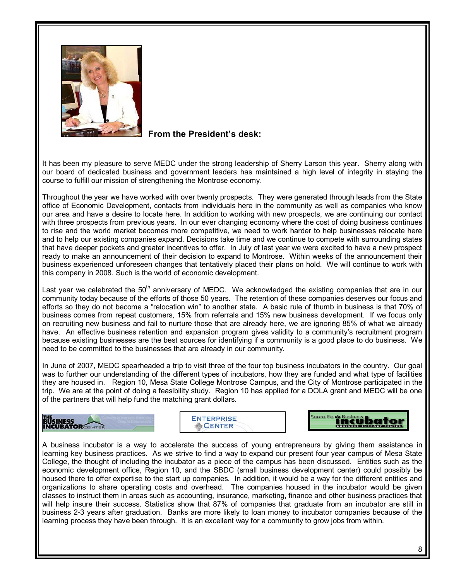

### **From the President's desk:**

It has been my pleasure to serve MEDC under the strong leadership of Sherry Larson this year. Sherry along with our board of dedicated business and government leaders has maintained a high level of integrity in staying the course to fulfill our mission of strengthening the Montrose economy.

Throughout the year we have worked with over twenty prospects. They were generated through leads from the State office of Economic Development, contacts from individuals here in the community as well as companies who know our area and have a desire to locate here. In addition to working with new prospects, we are continuing our contact with three prospects from previous years. In our ever changing economy where the cost of doing business continues to rise and the world market becomes more competitive, we need to work harder to help businesses relocate here and to help our existing companies expand. Decisions take time and we continue to compete with surrounding states that have deeper pockets and greater incentives to offer. In July of last year we were excited to have a new prospect ready to make an announcement of their decision to expand to Montrose. Within weeks of the announcement their business experienced unforeseen changes that tentatively placed their plans on hold. We will continue to work with this company in 2008. Such is the world of economic development.

Last year we celebrated the 50<sup>th</sup> anniversary of MEDC. We acknowledged the existing companies that are in our community today because of the efforts of those 50 years. The retention of these companies deserves our focus and efforts so they do not become a "relocation win" to another state. A basic rule of thumb in business is that 70% of business comes from repeat customers, 15% from referrals and 15% new business development. If we focus only on recruiting new business and fail to nurture those that are already here, we are ignoring 85% of what we already have. An effective business retention and expansion program gives validity to a community's recruitment program because existing businesses are the best sources for identifying if a community is a good place to do business. We need to be committed to the businesses that are already in our community.

In June of 2007, MEDC spearheaded a trip to visit three of the four top business incubators in the country. Our goal was to further our understanding of the different types of incubators, how they are funded and what type of facilities they are housed in. Region 10, Mesa State College Montrose Campus, and the City of Montrose participated in the trip. We are at the point of doing a feasibility study. Region 10 has applied for a DOLA grant and MEDC will be one of the partners that will help fund the matching grant dollars.

## **BUSINESS**<br>**INCUBATOR**





A business incubator is a way to accelerate the success of young entrepreneurs by giving them assistance in learning key business practices. As we strive to find a way to expand our present four year campus of Mesa State College, the thought of including the incubator as a piece of the campus has been discussed. Entities such as the economic development office, Region 10, and the SBDC (small business development center) could possibly be housed there to offer expertise to the start up companies. In addition, it would be a way for the different entities and organizations to share operating costs and overhead. The companies housed in the incubator would be given classes to instruct them in areas such as accounting, insurance, marketing, finance and other business practices that will help insure their success. Statistics show that 87% of companies that graduate from an incubator are still in business 2-3 years after graduation. Banks are more likely to loan money to incubator companies because of the learning process they have been through. It is an excellent way for a community to grow jobs from within.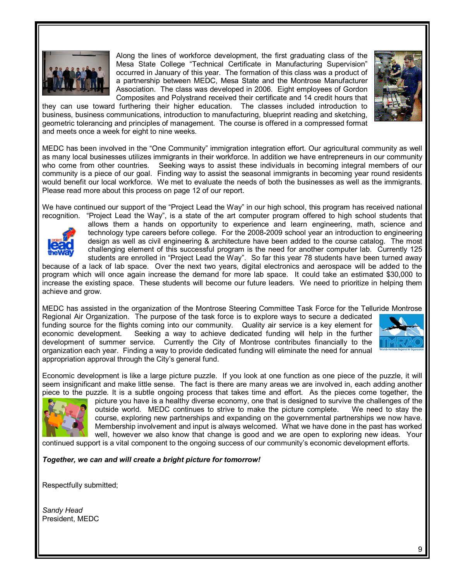

Along the lines of workforce development, the first graduating class of the Mesa State College "Technical Certificate in Manufacturing Supervision" occurred in January of this year. The formation of this class was a product of a partnership between MEDC, Mesa State and the Montrose Manufacturer Association. The class was developed in 2006. Eight employees of Gordon Composites and Polystrand received their certificate and 14 credit hours that



they can use toward furthering their higher education. The classes included introduction to business, business communications, introduction to manufacturing, blueprint reading and sketching, geometric tolerancing and principles of management. The course is offered in a compressed format and meets once a week for eight to nine weeks.

MEDC has been involved in the "One Community" immigration integration effort. Our agricultural community as well as many local businesses utilizes immigrants in their workforce. In addition we have entrepreneurs in our community who come from other countries. Seeking ways to assist these individuals in becoming integral members of our community is a piece of our goal. Finding way to assist the seasonal immigrants in becoming year round residents would benefit our local workforce. We met to evaluate the needs of both the businesses as well as the immigrants. Please read more about this process on page 12 of our report.

We have continued our support of the "Project Lead the Way" in our high school, this program has received national



recognition. "Project Lead the Way", is a state of the art computer program offered to high school students that allows them a hands on opportunity to experience and learn engineering, math, science and technology type careers before college. For the 2008-2009 school year an introduction to engineering design as well as civil engineering & architecture have been added to the course catalog. The most challenging element of this successful program is the need for another computer lab. Currently 125 students are enrolled in "Project Lead the Way". So far this year 78 students have been turned away

because of a lack of lab space. Over the next two years, digital electronics and aerospace will be added to the program which will once again increase the demand for more lab space. It could take an estimated \$30,000 to increase the existing space. These students will become our future leaders. We need to prioritize in helping them achieve and grow.

MEDC has assisted in the organization of the Montrose Steering Committee Task Force for the Telluride Montrose

Regional Air Organization. The purpose of the task force is to explore ways to secure a dedicated funding source for the flights coming into our community. Quality air service is a key element for economic development. Seeking a way to achieve dedicated funding will help in the further development of summer service. Currently the City of Montrose contributes financially to the organization each year. Finding a way to provide dedicated funding will eliminate the need for annual appropriation approval through the City's general fund.



Economic development is like a large picture puzzle. If you look at one function as one piece of the puzzle, it will seem insignificant and make little sense. The fact is there are many areas we are involved in, each adding another piece to the puzzle. It is a subtle ongoing process that takes time and effort. As the pieces come together, the



picture you have is a healthy diverse economy, one that is designed to survive the challenges of the outside world. MEDC continues to strive to make the picture complete. We need to stay the course, exploring new partnerships and expanding on the governmental partnerships we now have. Membership involvement and input is always welcomed. What we have done in the past has worked well, however we also know that change is good and we are open to exploring new ideas. Your

continued support is a vital component to the ongoing success of our community's economic development efforts.

*Together, we can and will create a bright picture for tomorrow!*

Respectfully submitted;

*Sandy Head*  President, MEDC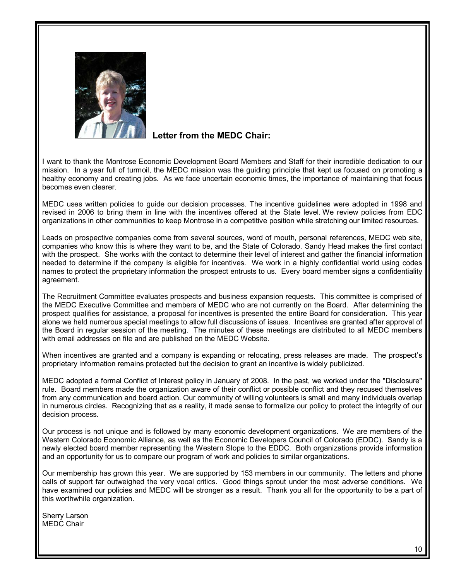

## **Letter from the MEDC Chair:**

I want to thank the Montrose Economic Development Board Members and Staff for their incredible dedication to our mission. In a year full of turmoil, the MEDC mission was the guiding principle that kept us focused on promoting a healthy economy and creating jobs. As we face uncertain economic times, the importance of maintaining that focus becomes even clearer.

MEDC uses written policies to guide our decision processes. The incentive guidelines were adopted in 1998 and revised in 2006 to bring them in line with the incentives offered at the State level. We review policies from EDC organizations in other communities to keep Montrose in a competitive position while stretching our limited resources.

Leads on prospective companies come from several sources, word of mouth, personal references, MEDC web site, companies who know this is where they want to be, and the State of Colorado. Sandy Head makes the first contact with the prospect. She works with the contact to determine their level of interest and gather the financial information needed to determine if the company is eligible for incentives. We work in a highly confidential world using codes names to protect the proprietary information the prospect entrusts to us. Every board member signs a confidentiality agreement.

The Recruitment Committee evaluates prospects and business expansion requests. This committee is comprised of the MEDC Executive Committee and members of MEDC who are not currently on the Board. After determining the prospect qualifies for assistance, a proposal for incentives is presented the entire Board for consideration. This year alone we held numerous special meetings to allow full discussions of issues. Incentives are granted after approval of the Board in regular session of the meeting. The minutes of these meetings are distributed to all MEDC members with email addresses on file and are published on the MEDC Website.

When incentives are granted and a company is expanding or relocating, press releases are made. The prospect's proprietary information remains protected but the decision to grant an incentive is widely publicized.

MEDC adopted a formal Conflict of Interest policy in January of 2008. In the past, we worked under the "Disclosure" rule. Board members made the organization aware of their conflict or possible conflict and they recused themselves from any communication and board action. Our community of willing volunteers is small and many individuals overlap in numerous circles. Recognizing that as a reality, it made sense to formalize our policy to protect the integrity of our decision process.

Our process is not unique and is followed by many economic development organizations. We are members of the Western Colorado Economic Alliance, as well as the Economic Developers Council of Colorado (EDDC). Sandy is a newly elected board member representing the Western Slope to the EDDC. Both organizations provide information and an opportunity for us to compare our program of work and policies to similar organizations.

Our membership has grown this year. We are supported by 153 members in our community. The letters and phone calls of support far outweighed the very vocal critics. Good things sprout under the most adverse conditions. We have examined our policies and MEDC will be stronger as a result. Thank you all for the opportunity to be a part of this worthwhile organization.

Sherry Larson MEDC Chair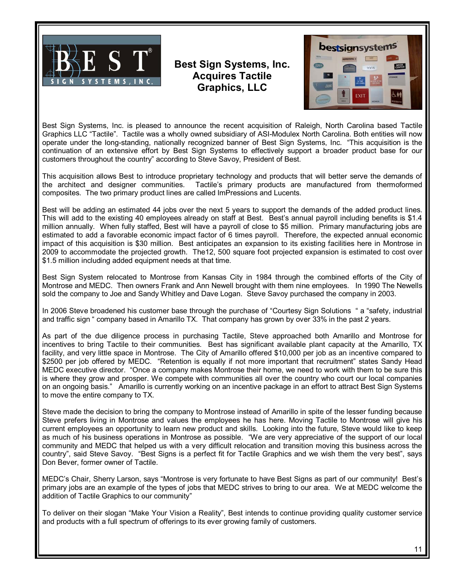

## **Best Sign Systems, Inc. Acquires Tactile Graphics, LLC**



Best Sign Systems, Inc. is pleased to announce the recent acquisition of Raleigh, North Carolina based Tactile Graphics LLC "Tactile". Tactile was a wholly owned subsidiary of ASI-Modulex North Carolina. Both entities will now operate under the long-standing, nationally recognized banner of Best Sign Systems, Inc. "This acquisition is the continuation of an extensive effort by Best Sign Systems to effectively support a broader product base for our customers throughout the countryî according to Steve Savoy, President of Best.

This acquisition allows Best to introduce proprietary technology and products that will better serve the demands of the architect and designer communities. Tactile's primary products are manufactured from thermoformed composites. The two primary product lines are called ImPressions and Lucents.

Best will be adding an estimated 44 jobs over the next 5 years to support the demands of the added product lines. This will add to the existing 40 employees already on staff at Best. Best's annual payroll including benefits is \$1.4 million annually. When fully staffed, Best will have a payroll of close to \$5 million. Primary manufacturing jobs are estimated to add a favorable economic impact factor of 6 times payroll. Therefore, the expected annual economic impact of this acquisition is \$30 million. Best anticipates an expansion to its existing facilities here in Montrose in 2009 to accommodate the projected growth. The12, 500 square foot projected expansion is estimated to cost over \$1.5 million including added equipment needs at that time.

Best Sign System relocated to Montrose from Kansas City in 1984 through the combined efforts of the City of Montrose and MEDC. Then owners Frank and Ann Newell brought with them nine employees. In 1990 The Newells sold the company to Joe and Sandy Whitley and Dave Logan. Steve Savoy purchased the company in 2003.

In 2006 Steve broadened his customer base through the purchase of "Courtesy Sign Solutions " a "safety, industrial and traffic sign " company based in Amarillo TX. That company has grown by over 33% in the past 2 years.

As part of the due diligence process in purchasing Tactile, Steve approached both Amarillo and Montrose for incentives to bring Tactile to their communities. Best has significant available plant capacity at the Amarillo, TX facility, and very little space in Montrose. The City of Amarillo offered \$10,000 per job as an incentive compared to \$2500 per job offered by MEDC. "Retention is equally if not more important that recruitment" states Sandy Head MEDC executive director. "Once a company makes Montrose their home, we need to work with them to be sure this is where they grow and prosper. We compete with communities all over the country who court our local companies on an ongoing basis." Amarillo is currently working on an incentive package in an effort to attract Best Sign Systems to move the entire company to TX.

Steve made the decision to bring the company to Montrose instead of Amarillo in spite of the lesser funding because Steve prefers living in Montrose and values the employees he has here. Moving Tactile to Montrose will give his current employees an opportunity to learn new product and skills. Looking into the future, Steve would like to keep as much of his business operations in Montrose as possible. "We are very appreciative of the support of our local community and MEDC that helped us with a very difficult relocation and transition moving this business across the country", said Steve Savoy. "Best Signs is a perfect fit for Tactile Graphics and we wish them the very best", says Don Bever, former owner of Tactile.

MEDC's Chair, Sherry Larson, says "Montrose is very fortunate to have Best Signs as part of our community! Best's primary jobs are an example of the types of jobs that MEDC strives to bring to our area. We at MEDC welcome the addition of Tactile Graphics to our community"

To deliver on their slogan "Make Your Vision a Reality", Best intends to continue providing quality customer service and products with a full spectrum of offerings to its ever growing family of customers.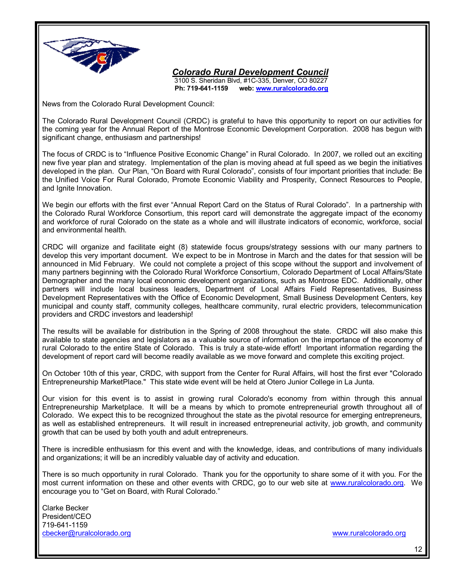

*Colorado Rural Development Council*

3100 S. Sheridan Blvd, #1C-335, Denver, CO 80227<br> **Ph: 719-641-1159** web: www.ruralcolorado.org web: www.ruralcolorado.org

News from the Colorado Rural Development Council:

The Colorado Rural Development Council (CRDC) is grateful to have this opportunity to report on our activities for the coming year for the Annual Report of the Montrose Economic Development Corporation. 2008 has begun with significant change, enthusiasm and partnerships!

The focus of CRDC is to "Influence Positive Economic Change" in Rural Colorado. In 2007, we rolled out an exciting new five year plan and strategy. Implementation of the plan is moving ahead at full speed as we begin the initiatives developed in the plan. Our Plan, "On Board with Rural Colorado", consists of four important priorities that include: Be the Unified Voice For Rural Colorado, Promote Economic Viability and Prosperity, Connect Resources to People, and Ignite Innovation.

We begin our efforts with the first ever "Annual Report Card on the Status of Rural Colorado". In a partnership with the Colorado Rural Workforce Consortium, this report card will demonstrate the aggregate impact of the economy and workforce of rural Colorado on the state as a whole and will illustrate indicators of economic, workforce, social and environmental health.

CRDC will organize and facilitate eight (8) statewide focus groups/strategy sessions with our many partners to develop this very important document. We expect to be in Montrose in March and the dates for that session will be announced in Mid February. We could not complete a project of this scope without the support and involvement of many partners beginning with the Colorado Rural Workforce Consortium, Colorado Department of Local Affairs/State Demographer and the many local economic development organizations, such as Montrose EDC. Additionally, other partners will include local business leaders, Department of Local Affairs Field Representatives, Business Development Representatives with the Office of Economic Development, Small Business Development Centers, key municipal and county staff, community colleges, healthcare community, rural electric providers, telecommunication providers and CRDC investors and leadership!

The results will be available for distribution in the Spring of 2008 throughout the state. CRDC will also make this available to state agencies and legislators as a valuable source of information on the importance of the economy of rural Colorado to the entire State of Colorado. This is truly a state-wide effort! Important information regarding the development of report card will become readily available as we move forward and complete this exciting project.

On October 10th of this year, CRDC, with support from the Center for Rural Affairs, will host the first ever "Colorado Entrepreneurship MarketPlace." This state wide event will be held at Otero Junior College in La Junta.

Our vision for this event is to assist in growing rural Colorado's economy from within through this annual Entrepreneurship Marketplace. It will be a means by which to promote entrepreneurial growth throughout all of Colorado. We expect this to be recognized throughout the state as the pivotal resource for emerging entrepreneurs, as well as established entrepreneurs. It will result in increased entrepreneurial activity, job growth, and community growth that can be used by both youth and adult entrepreneurs.

There is incredible enthusiasm for this event and with the knowledge, ideas, and contributions of many individuals and organizations; it will be an incredibly valuable day of activity and education.

There is so much opportunity in rural Colorado. Thank you for the opportunity to share some of it with you. For the most current information on these and other events with CRDC, go to our web site at www.ruralcolorado.org. We encourage you to "Get on Board, with Rural Colorado."

Clarke Becker President/CEO 719-641-1159 cbecker@ruralcolorado.org www.ruralcolorado.org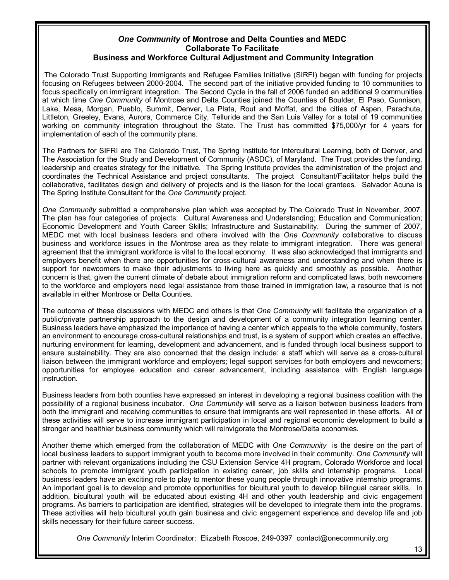#### *One Community* **of Montrose and Delta Counties and MEDC Collaborate To Facilitate Business and Workforce Cultural Adjustment and Community Integration**

 The Colorado Trust Supporting Immigrants and Refugee Families Initiative (SIRFI) began with funding for projects focusing on Refugees between 2000-2004. The second part of the initiative provided funding to 10 communities to focus specifically on immigrant integration. The Second Cycle in the fall of 2006 funded an additional 9 communities at which time *One Community* of Montrose and Delta Counties joined the Counties of Boulder, El Paso, Gunnison, Lake, Mesa, Morgan, Pueblo, Summit, Denver, La Plata, Rout and Moffat, and the cities of Aspen, Parachute, Littleton, Greeley, Evans, Aurora, Commerce City, Telluride and the San Luis Valley for a total of 19 communities working on community integration throughout the State. The Trust has committed \$75,000/yr for 4 years for implementation of each of the community plans.

The Partners for SIFRI are The Colorado Trust, The Spring Institute for Intercultural Learning, both of Denver, and The Association for the Study and Development of Community (ASDC), of Maryland. The Trust provides the funding, leadership and creates strategy for the initiative. The Spring Institute provides the administration of the project and coordinates the Technical Assistance and project consultants. The project Consultant/Facilitator helps build the collaborative, facilitates design and delivery of projects and is the liason for the local grantees. Salvador Acuna is The Spring Institute Consultant for the *One Community* project.

*One Community* submitted a comprehensive plan which was accepted by The Colorado Trust in November, 2007. The plan has four categories of projects: Cultural Awareness and Understanding; Education and Communication; Economic Development and Youth Career Skills; Infrastructure and Sustainability. During the summer of 2007, MEDC met with local business leaders and others involved with the *One Community* collaborative to discuss business and workforce issues in the Montrose area as they relate to immigrant integration. There was general agreement that the immigrant workforce is vital to the local economy. It was also acknowledged that immigrants and employers benefit when there are opportunities for cross-cultural awareness and understanding and when there is support for newcomers to make their adjustments to living here as quickly and smoothly as possible. Another concern is that, given the current climate of debate about immigration reform and complicated laws, both newcomers to the workforce and employers need legal assistance from those trained in immigration law, a resource that is not available in either Montrose or Delta Counties.

The outcome of these discussions with MEDC and others is that *One Community* will facilitate the organization of a public/private partnership approach to the design and development of a community integration learning center. Business leaders have emphasized the importance of having a center which appeals to the whole community, fosters an environment to encourage cross-cultural relationships and trust, is a system of support which creates an effective, nurturing environment for learning, development and advancement, and is funded through local business support to ensure sustainability. They are also concerned that the design include: a staff which will serve as a cross-cultural liaison between the immigrant workforce and employers; legal support services for both employers and newcomers; opportunities for employee education and career advancement, including assistance with English language instruction.

Business leaders from both counties have expressed an interest in developing a regional business coalition with the possibility of a regional business incubator. *One Community* will serve as a liaison between business leaders from both the immigrant and receiving communities to ensure that immigrants are well represented in these efforts. All of these activities will serve to increase immigrant participation in local and regional economic development to build a stronger and healthier business community which will reinvigorate the Montrose/Delta economies.

Another theme which emerged from the collaboration of MEDC with *One Community* is the desire on the part of local business leaders to support immigrant youth to become more involved in their community. *One Community* will partner with relevant organizations including the CSU Extension Service 4H program, Colorado Workforce and local schools to promote immigrant youth participation in existing career, job skills and internship programs. Local business leaders have an exciting role to play to mentor these young people through innovative internship programs. An important goal is to develop and promote opportunities for bicultural youth to develop bilingual career skills. In addition, bicultural youth will be educated about existing 4H and other youth leadership and civic engagement programs. As barriers to participation are identified, strategies will be developed to integrate them into the programs. These activities will help bicultural youth gain business and civic engagement experience and develop life and job skills necessary for their future career success.

*One Community* Interim Coordinator: Elizabeth Roscoe, 249-0397 contact@onecommunity.org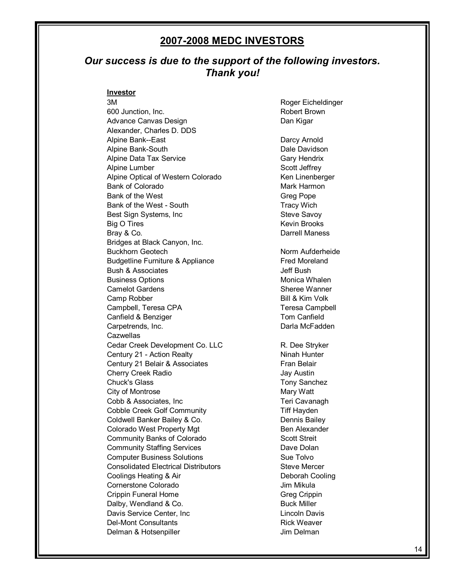## **2007-2008 MEDC INVESTORS**

## *Our success is due to the support of the following investors. Thank you!*

#### **Investor**

3M Roger Eicheldinger 600 Junction, Inc. **Robert Brown** Advance Canvas Design **Dan Kigar** Dan Kigar Alexander, Charles D. DDS Alpine Bank--East Darcy Arnold Alpine Bank-South **Dale Davidson** Alpine Data Tax Service **Gary Hendrix** Gary Hendrix Alpine Lumber Scott Jeffrey Alpine Optical of Western Colorado Ken Linenberger Bank of Colorado **Mark Harmon** Mark Harmon Bank of the West Greg Pope Bank of the West - South Tracy Wich Best Sign Systems, Inc Steve Savoy Big O Tires **Kevin Brooks** Bray & Co. **Darrell Maness** Bridges at Black Canyon, Inc. Buckhorn Geotech Norm Aufderheide Budgetline Furniture & Appliance Fred Moreland Bush & Associates **Bush & Associates Jeff Bush** Business Options **Monica Whalen** Camelot Gardens Sheree Wanner Camp Robber Bill & Kim Volk Campbell, Teresa CPA Teresa Campbell Canfield & Benziger Tom Canfield Carpetrends, Inc. **Darla McFadden Cazwellas** Cedar Creek Development Co. LLC R. Dee Stryker Century 21 - Action Realty Ninah Hunter Century 21 Belair & Associates Fran Belair Cherry Creek Radio **Jay Austin** Chuck's Glass Tony Sanchez City of Montrose Mary Watt Cobb & Associates, Inc Teri Cavanagh Cobble Creek Golf Community Tiff Hayden Coldwell Banker Bailey & Co. Dennis Bailey Colorado West Property Mgt Ben Alexander Community Banks of Colorado Scott Streit **Community Staffing Services** Dave Dolan **Computer Business Solutions** Sue Tolvo Consolidated Electrical Distributors **Steve Mercer** Steve Mercer **Coolings Heating & Air Cooling Cooling Cooling** Cornerstone Colorado **Jim Mikula** Crippin Funeral Home Greg Crippin Greg Crippin Dalby, Wendland & Co. Buck Miller Davis Service Center, Inc Lincoln Davis Del-Mont Consultants **Rick Weaver** Rick Weaver Delman & Hotsenpiller **Jim Delman**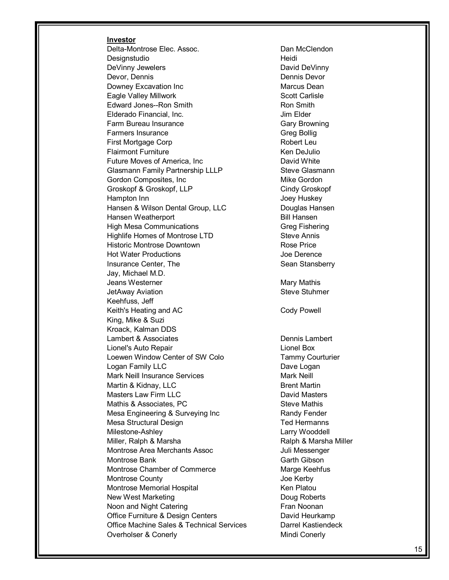#### **Investor**

Delta-Montrose Elec. Assoc. 
<br>
Dan McClendon Designstudio and the extension of the Heidi DeVinny Jewelers **DeVinny** David DeVinny Devor, Dennis Dennis Devor Downey Excavation Inc **Marcus Dean** Marcus Dean Eagle Valley Millwork **Scott Carlisle** Scott Carlisle Edward Jones--Ron Smith **Ron Smith** Ron Smith Elderado Financial, Inc. **Inc. Elderado** Financial, Inc. Farm Bureau Insurance Gary Browning Farmers Insurance Greg Bollig First Mortgage Corp **Robert Leu** Robert Leu Flairmont Furniture **Ken** DeJulio Future Moves of America, Inc **Example 20** David White Glasmann Family Partnership LLLP Steve Glasmann Gordon Composites, Inc **Mike Gordon** Mike Gordon Groskopf & Groskopf, LLP Cindy Groskopf Hampton Inn **Hampton** Inn Hansen & Wilson Dental Group, LLC Douglas Hansen Hansen Weatherport **Bill Hansen** High Mesa Communications Greg Fishering Highlife Homes of Montrose LTD Steve Annis Historic Montrose Downtown **Rose Price** Hot Water Productions **Access 19 and The United States** Joe Derence Insurance Center, The Sean Stansberry Jay, Michael M.D. Jeans Westerner **Mary Mary Mathis** JetAway Aviation **Steve Stuhmer** Steve Stuhmer Keehfuss, Jeff Keith's Heating and AC Cody Powell King, Mike & Suzi Kroack, Kalman DDS Lambert & Associates **Dennis Lambert** Lionel's Auto Repair Lionel Box Loewen Window Center of SW Colo Tammy Courturier Logan Family LLC Dave Logan Mark Neill Insurance Services Mark Neill Martin & Kidnay, LLC Brent Martin Masters Law Firm LLC **Canadian Contract Contract Contract Contract Contract Contract Contract Contract Contract Contract Contract Contract Contract Contract Contract Contract Contract Contract Contract Contract Contract Co** Mathis & Associates, PC Steve Mathis Mesa Engineering & Surveying Inc Randy Fender Mesa Structural Design Ted Hermanns Milestone-Ashley **Larry Wooddell** Miller, Ralph & Marsha Ralph & Marsha Miller Montrose Area Merchants Assoc **Juli Messenger** Montrose Bank Garth Gibson Montrose Chamber of Commerce Marge Keehfus Montrose County **Montrose** County **Accounty** Joe Kerby Montrose Memorial Hospital New York Channels Ken Platou New West Marketing **New West Marketing** Noon and Night Catering **Fran Noonan** Office Furniture & Design Centers **David Heurkamp** Office Machine Sales & Technical Services Darrel Kastiendeck Overholser & Conerly **Mindi Conerly** Mindi Conerly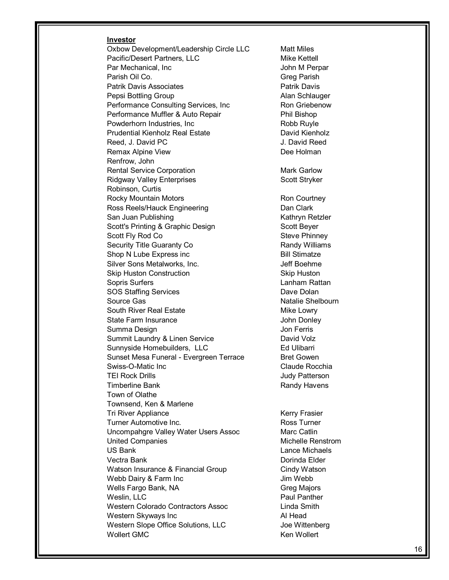#### **Investor**

Oxbow Development/Leadership Circle LLC Matt Miles Pacific/Desert Partners, LLC Mike Kettell Par Mechanical, Inc **Part Account Contract Contract Contract Contract Contract Contract Contract Contract Contract Contract Contract Contract Contract Contract Contract Contract Contract Contract Contract Contract Contract** Parish Oil Co. **Greg Parish** Greg Parish Patrik Davis Associates **Patricial Patricial Patricial Patricial** Pepsi Bottling Group **Alan Schlauger** Alan Schlauger Performance Consulting Services, Inc Ron Griebenow Performance Muffler & Auto Repair **Phil Bishop** Powderhorn Industries, Inc **Robb Ruyle** Robb Ruyle Prudential Kienholz Real Estate **David Kienholz** Reed, J. David PC and The Contract of the U. David Reed Remax Alpine View **Dee Holman** Renfrow, John Rental Service Corporation **Mark Garlow** Mark Garlow Ridgway Valley Enterprises Scott Stryker Robinson, Curtis Rocky Mountain Motors **Rocky** Ron Courtney Ross Reels/Hauck Engineering **Dan Clark** Dan Clark San Juan Publishing **Kathryn Retzler** Kathryn Retzler Scott's Printing & Graphic Design Scott Beyer Scott Fly Rod Co Steve Phinney Security Title Guaranty Co Randy Williams Shop N Lube Express inc Bill Stimatze Silver Sons Metalworks, Inc. The Solid Communist School and Jeff Boehme Skip Huston Construction Skip Huston Sopris Surfers **Lanham Rattan** SOS Staffing Services **Dave Dolan** Source Gas Natalie Shelbourn South River Real Estate Mike Lowry State Farm Insurance John Donley Summa Design **Summa Design** Jon Ferris Summit Laundry & Linen Service **David Volz** Sunnyside Homebuilders, LLC Ed Ulibarri Sunset Mesa Funeral - Evergreen Terrace Bret Gowen Swiss-O-Matic Inc **Claude Rocchia** TEI Rock Drills **TEI Rock Drills Judy Patterson** Timberline Bank **Randy Havens** Randy Havens Town of Olathe Townsend, Ken & Marlene Tri River Appliance **Kerry Frasier** Kerry Frasier Turner Automotive Inc. Turner Ross Turner Uncompahgre Valley Water Users Assoc Marc Catlin United Companies **Michelle Renstrom** US Bank Lance Michaels Vectra Bank Dorinda Elder Watson Insurance & Financial Group Cindy Watson Webb Dairy & Farm Inc Jim Webb Wells Fargo Bank, NA Greg Majors Weslin, LLC **Paul Panther** Paul Panther Western Colorado Contractors Assoc Linda Smith Western Skyways Inc **All Head** Al Head Western Slope Office Solutions, LLC Joe Wittenberg Wollert GMC **Ken Wollert** CMC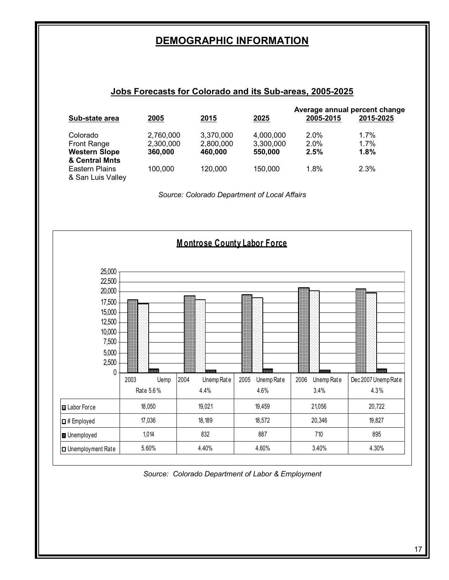## **DEMOGRAPHIC INFORMATION**

#### **Jobs Forecasts for Colorado and its Sub-areas, 2005-2025**

|                                     |           |             |           | Average annual percent change |           |
|-------------------------------------|-----------|-------------|-----------|-------------------------------|-----------|
| Sub-state area                      | 2005      | <u>2015</u> | 2025      | 2005-2015                     | 2015-2025 |
| Colorado                            | 2,760,000 | 3,370,000   | 4,000,000 | 2.0%                          | 1.7%      |
| <b>Front Range</b>                  | 2,300,000 | 2,800,000   | 3,300,000 | $2.0\%$                       | 1.7%      |
| <b>Western Slope</b>                | 360,000   | 460.000     | 550,000   | 2.5%                          | 1.8%      |
| & Central Mnts                      |           |             |           |                               |           |
| Eastern Plains<br>& San Luis Valley | 100,000   | 120,000     | 150,000   | 1.8%                          | 2.3%      |

*Source: Colorado Department of Local Affairs*



*Source: Colorado Department of Labor & Employment*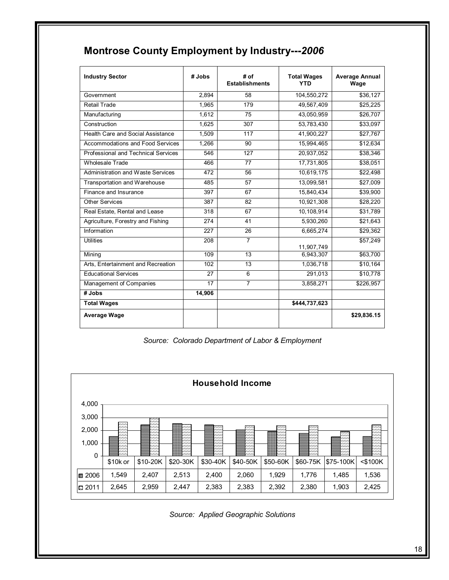| <b>Industry Sector</b>              | # Jobs | # of<br><b>Establishments</b> | <b>Total Wages</b><br>YTD | <b>Average Annual</b><br>Wage |
|-------------------------------------|--------|-------------------------------|---------------------------|-------------------------------|
| Government                          | 2,894  | 58                            | 104,550,272               | \$36,127                      |
| <b>Retail Trade</b>                 | 1,965  | 179                           | 49,567,409                | \$25,225                      |
| Manufacturing                       | 1.612  | 75                            | 43,050,959                | \$26,707                      |
| Construction                        | 1.625  | 307                           | 53,783,430                | \$33,097                      |
| Health Care and Social Assistance   | 1.509  | 117                           | 41,900,227                | \$27,767                      |
| Accommodations and Food Services    | 1,266  | 90                            | 15,994,465                | \$12,634                      |
| Professional and Technical Services | 546    | 127                           | 20,937,052                | \$38,346                      |
| <b>Wholesale Trade</b>              | 466    | 77                            | 17,731,805                | \$38,051                      |
| Administration and Waste Services   | 472    | 56                            | 10,619,175                | \$22,498                      |
| Transportation and Warehouse        | 485    | 57                            | 13,099,581                | \$27,009                      |
| Finance and Insurance               | 397    | 67                            | 15,840,434                | \$39,900                      |
| <b>Other Services</b>               | 387    | 82                            | 10,921,308                | \$28,220                      |
| Real Estate, Rental and Lease       | 318    | 67                            | 10,108,914                | \$31,789                      |
| Agriculture, Forestry and Fishing   | 274    | 41                            | 5,930,260                 | \$21,643                      |
| Information                         | 227    | 26                            | 6,665,274                 | \$29,362                      |
| <b>Utilities</b>                    | 208    | $\overline{7}$                | 11,907,749                | \$57,249                      |
| Mining                              | 109    | 13                            | 6,943,307                 | \$63,700                      |
| Arts. Entertainment and Recreation  | 102    | 13                            | 1,036,718                 | \$10,164                      |
| <b>Educational Services</b>         | 27     | 6                             | 291,013                   | \$10,778                      |
| Management of Companies             | 17     | $\overline{7}$                | 3,858,271                 | \$226,957                     |
| # Jobs                              | 14,906 |                               |                           |                               |
| <b>Total Wages</b>                  |        |                               | \$444,737,623             |                               |
| <b>Average Wage</b>                 |        |                               |                           | \$29,836.15                   |

## **Montrose County Employment by Industry---***2006*

*Source: Colorado Department of Labor & Employment*



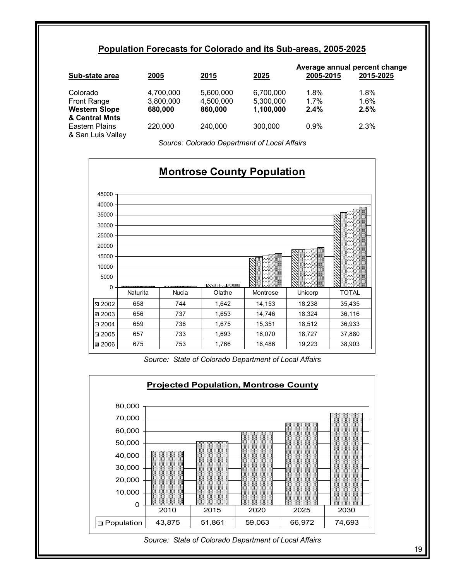## **Population Forecasts for Colorado and its Sub-areas, 2005-2025**

| Sub-state area                      | 2005      | 2015      | 2025      | 2005-2015 | Average annual percent change<br>2015-2025 |
|-------------------------------------|-----------|-----------|-----------|-----------|--------------------------------------------|
| Colorado                            | 4,700,000 | 5.600.000 | 6,700,000 | 1.8%      | 1.8%                                       |
| Front Range                         | 3,800,000 | 4.500.000 | 5,300,000 | 1.7%      | 1.6%                                       |
| <b>Western Slope</b>                | 680,000   | 860,000   | 1.100.000 | $2.4\%$   | 2.5%                                       |
| & Central Mnts                      |           |           |           |           |                                            |
| Eastern Plains<br>& San Luis Valley | 220,000   | 240,000   | 300,000   | 0.9%      | 2.3%                                       |

*Source: Colorado Department of Local Affairs* 



*Source: State of Colorado Department of Local Affairs* 



#### *Source: State of Colorado Department of Local Affairs*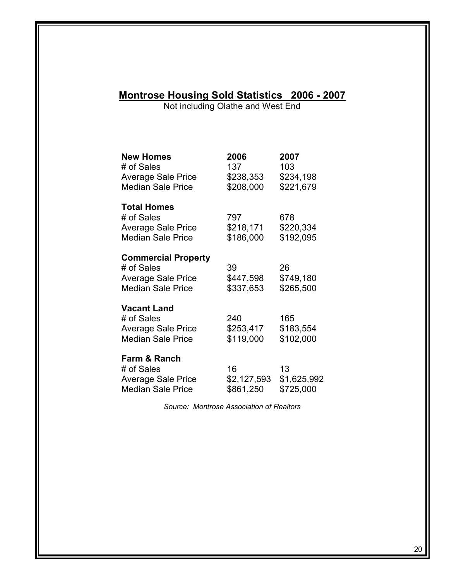## **Montrose Housing Sold Statistics 2006 - 2007**

Not including Olathe and West End

| <b>New Homes</b><br># of Sales<br><b>Average Sale Price</b><br><b>Median Sale Price</b>           | 2006<br>137<br>\$238,353<br>\$208,000 | 2007<br>103<br>\$234,198<br>\$221,679 |
|---------------------------------------------------------------------------------------------------|---------------------------------------|---------------------------------------|
| <b>Total Homes</b><br># of Sales<br><b>Average Sale Price</b><br><b>Median Sale Price</b>         | 797<br>\$218,171<br>\$186,000         | 678<br>\$220,334<br>\$192,095         |
| <b>Commercial Property</b><br># of Sales<br><b>Average Sale Price</b><br><b>Median Sale Price</b> | 39<br>\$447,598<br>\$337,653          | 26<br>\$749,180<br>\$265,500          |
| <b>Vacant Land</b><br># of Sales<br><b>Average Sale Price</b><br><b>Median Sale Price</b>         | 240<br>\$253,417<br>\$119,000         | 165<br>\$183,554<br>\$102,000         |
| Farm & Ranch<br># of Sales<br><b>Average Sale Price</b><br><b>Median Sale Price</b>               | 16<br>\$2,127,593<br>\$861,250        | 13<br>\$1,625,992<br>\$725,000        |

*Source: Montrose Association of Realtors*